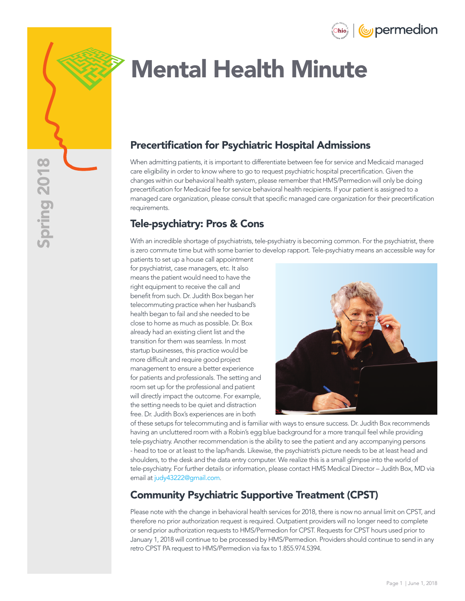



# Mental Health Minute

## Precertification for Psychiatric Hospital Admissions

When admitting patients, it is important to differentiate between fee for service and Medicaid managed care eligibility in order to know where to go to request psychiatric hospital precertification. Given the changes within our behavioral health system, please remember that HMS/Permedion will only be doing precertification for Medicaid fee for service behavioral health recipients. If your patient is assigned to a managed care organization, please consult that specific managed care organization for their precertification requirements.

### Tele-psychiatry: Pros & Cons

With an incredible shortage of psychiatrists, tele-psychiatry is becoming common. For the psychiatrist, there is zero commute time but with some barrier to develop rapport. Tele-psychiatry means an accessible way for

patients to set up a house call appointment for psychiatrist, case managers, etc. It also means the patient would need to have the right equipment to receive the call and benefit from such. Dr. Judith Box began her telecommuting practice when her husband's health began to fail and she needed to be close to home as much as possible. Dr. Box already had an existing client list and the transition for them was seamless. In most startup businesses, this practice would be more difficult and require good project management to ensure a better experience for patients and professionals. The setting and room set up for the professional and patient will directly impact the outcome. For example, the setting needs to be quiet and distraction free. Dr. Judith Box's experiences are in both



of these setups for telecommuting and is familiar with ways to ensure success. Dr. Judith Box recommends having an uncluttered room with a Robin's egg blue background for a more tranquil feel while providing tele-psychiatry. Another recommendation is the ability to see the patient and any accompanying persons - head to toe or at least to the lap/hands. Likewise, the psychiatrist's picture needs to be at least head and shoulders, to the desk and the data entry computer. We realize this is a small glimpse into the world of tele-psychiatry. For further details or information, please contact HMS Medical Director – Judith Box, MD via email at [judy43222@gmail.com](Mailto:judy43222@gmail.com).

#### Community Psychiatric Supportive Treatment (CPST)

Please note with the change in behavioral health services for 2018, there is now no annual limit on CPST, and therefore no prior authorization request is required. Outpatient providers will no longer need to complete or send prior authorization requests to HMS/Permedion for CPST. Requests for CPST hours used prior to January 1, 2018 will continue to be processed by HMS/Permedion. Providers should continue to send in any retro CPST PA request to HMS/Permedion via fax to 1.855.974.5394.